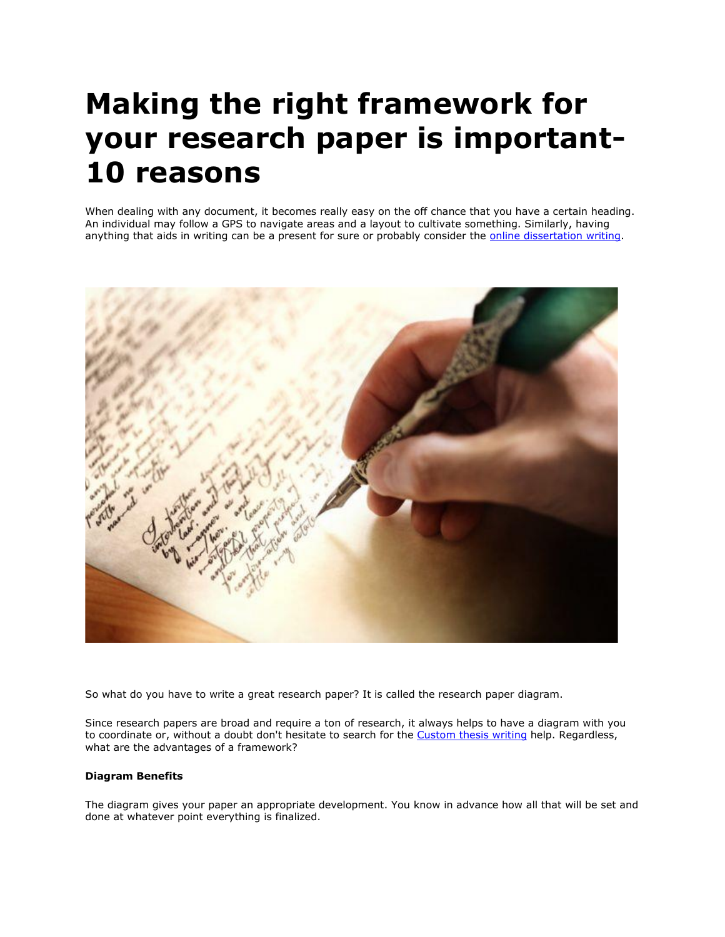## **Making the right framework for your research paper is important-10 reasons**

When dealing with any document, it becomes really easy on the off chance that you have a certain heading. An individual may follow a GPS to navigate areas and a layout to cultivate something. Similarly, having anything that aids in writing can be a present for sure or probably consider the [online dissertation writing.](https://www.gradschoolgenius.com/dissertation-writing-services)



So what do you have to write a great research paper? It is called the research paper diagram.

Since research papers are broad and require a ton of research, it always helps to have a diagram with you to coordinate or, without a doubt don't hesitate to search for the [Custom thesis writing](https://www.gradschoolgenius.com/custom-thesis) help. Regardless, what are the advantages of a framework?

## **Diagram Benefits**

The diagram gives your paper an appropriate development. You know in advance how all that will be set and done at whatever point everything is finalized.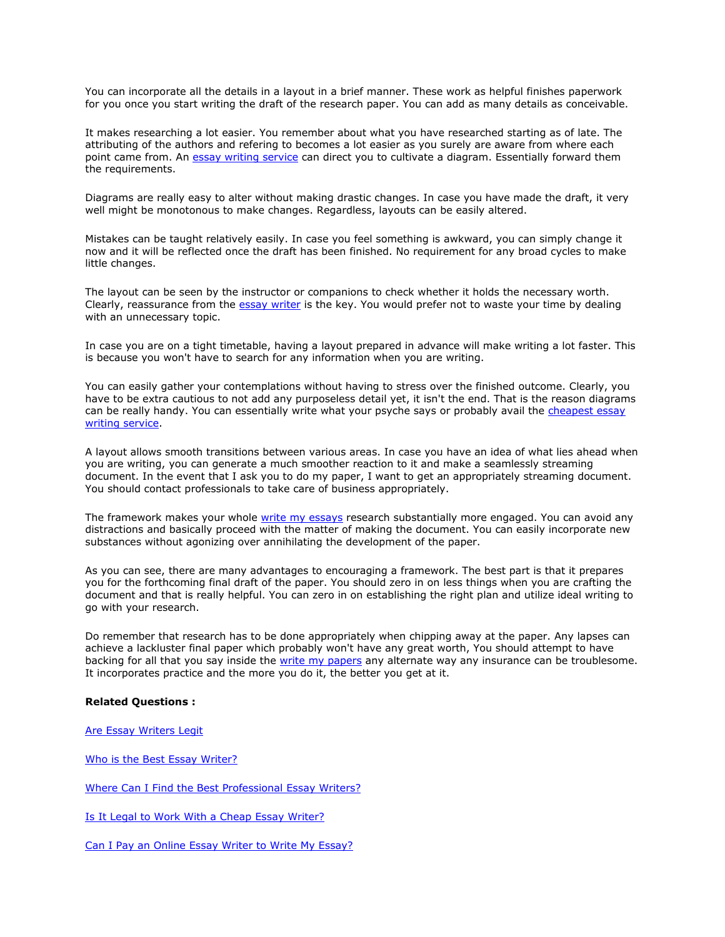You can incorporate all the details in a layout in a brief manner. These work as helpful finishes paperwork for you once you start writing the draft of the research paper. You can add as many details as conceivable.

It makes researching a lot easier. You remember about what you have researched starting as of late. The attributing of the authors and refering to becomes a lot easier as you surely are aware from where each point came from. An [essay writing service](https://essayhours.com/) can direct you to cultivate a diagram. Essentially forward them the requirements.

Diagrams are really easy to alter without making drastic changes. In case you have made the draft, it very well might be monotonous to make changes. Regardless, layouts can be easily altered.

Mistakes can be taught relatively easily. In case you feel something is awkward, you can simply change it now and it will be reflected once the draft has been finished. No requirement for any broad cycles to make little changes.

The layout can be seen by the instructor or companions to check whether it holds the necessary worth. Clearly, reassurance from the [essay writer](https://www.collegeessay.org/) is the key. You would prefer not to waste your time by dealing with an unnecessary topic.

In case you are on a tight timetable, having a layout prepared in advance will make writing a lot faster. This is because you won't have to search for any information when you are writing.

You can easily gather your contemplations without having to stress over the finished outcome. Clearly, you have to be extra cautious to not add any purposeless detail yet, it isn't the end. That is the reason diagrams can be really handy. You can essentially write what your psyche says or probably avail the cheapest essay [writing service.](https://www.sharkpapers.com/essay-writing-service/where-can-i-find-a-cheap-essay-writing-service)

A layout allows smooth transitions between various areas. In case you have an idea of what lies ahead when you are writing, you can generate a much smoother reaction to it and make a seamlessly streaming document. In the event that I ask you to do my paper, I want to get an appropriately streaming document. You should contact professionals to take care of business appropriately.

The framework makes your whole [write my essays](https://www.writemyessay.help/) research substantially more engaged. You can avoid any distractions and basically proceed with the matter of making the document. You can easily incorporate new substances without agonizing over annihilating the development of the paper.

As you can see, there are many advantages to encouraging a framework. The best part is that it prepares you for the forthcoming final draft of the paper. You should zero in on less things when you are crafting the document and that is really helpful. You can zero in on establishing the right plan and utilize ideal writing to go with your research.

Do remember that research has to be done appropriately when chipping away at the paper. Any lapses can achieve a lackluster final paper which probably won't have any great worth, You should attempt to have backing for all that you say inside the [write my papers](https://www.myperfectpaper.net/) any alternate way any insurance can be troublesome. It incorporates practice and the more you do it, the better you get at it.

## **Related Questions :**

Are [Essay Writers Legit](https://www.essaywriter.college/are-essay-writers-legit)

[Who is the Best](https://www.essaywriter.college/who-is-the-best-essay-writer) Essay Writer?

[Where Can I Find the Best Professional](https://www.essaywriter.college/where-can-i-find-the-best-professional-essay-writers) Essay Writers?

[Is It Legal to Work With a Cheap](https://www.essaywriter.college/is-it-legal-to-work-with-a-cheap-essay-writer) Essay Writer?

[Can I Pay an Online](https://www.essaywriter.college/can-i-pay-an-online-essay-writer-to-write-my-essay) Essay Writer to Write My Essay?